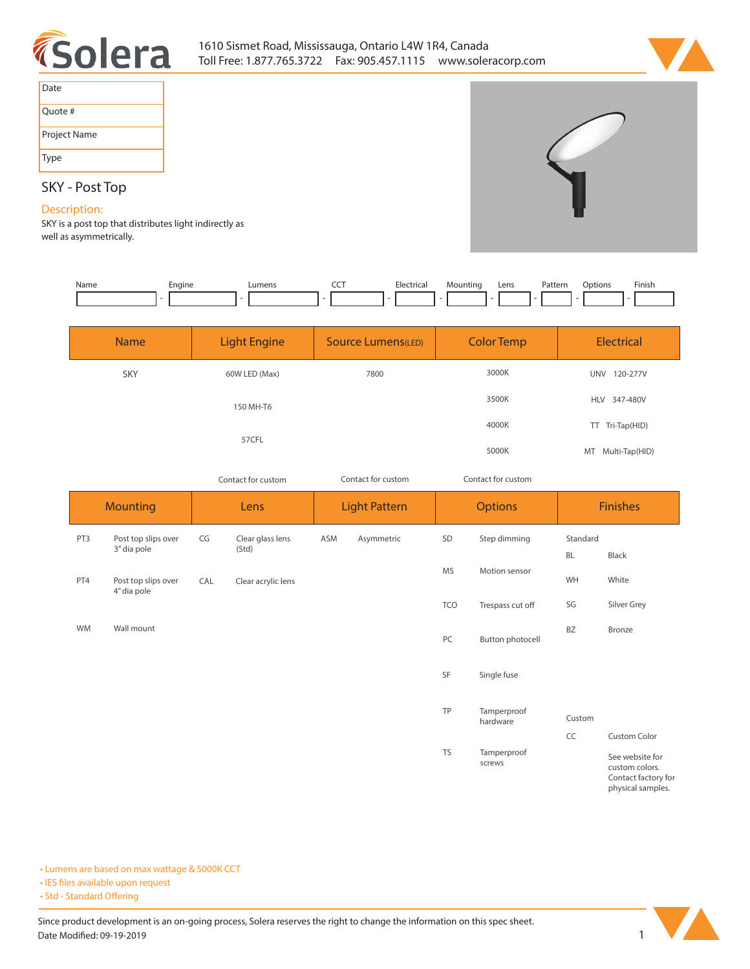



| Date         |
|--------------|
| Ouote #      |
| Project Name |
| Type         |

## **SKY - Post Top**

## **Description:**

**SKY is a post top that distributes light indirectly as well as asymmetrically.** 

| Name      | Engine<br>$\overline{a}$ |                    | Lumens<br>$\overline{\phantom{a}}$ | CCT                | Electrical           | Mounting           | Pattern<br>Lens<br>$\overline{\phantom{m}}$ | Options   | Finish            |  |
|-----------|--------------------------|--------------------|------------------------------------|--------------------|----------------------|--------------------|---------------------------------------------|-----------|-------------------|--|
|           | <b>Name</b>              |                    | <b>Light Engine</b>                |                    | Source Lumens(LED)   |                    | <b>Color Temp</b>                           |           | <b>Electrical</b> |  |
|           | SKY                      |                    | 60W LED (Max)                      |                    | 7800                 |                    | 3000K                                       |           | UNV 120-277V      |  |
|           |                          |                    | 150 MH-T6                          |                    |                      |                    | 3500K                                       |           | HLV 347-480V      |  |
|           |                          |                    | 57CFL                              |                    |                      |                    | 4000K                                       |           | TT Tri-Tap(HID)   |  |
|           |                          |                    |                                    |                    |                      |                    | 5000K                                       |           | MT Multi-Tap(HID) |  |
|           |                          | Contact for custom |                                    | Contact for custom |                      | Contact for custom |                                             |           |                   |  |
|           |                          |                    |                                    |                    |                      |                    |                                             |           |                   |  |
|           | <b>Mounting</b>          |                    | Lens                               |                    | <b>Light Pattern</b> |                    | <b>Options</b>                              |           | <b>Finishes</b>   |  |
| PT3       | Post top slips over      | CG                 | Clear glass lens                   | ASM                | Asymmetric           | SD                 | Step dimming                                | Standard  |                   |  |
|           | 3" dia pole              |                    | (Std)                              |                    |                      |                    |                                             | <b>BL</b> | Black             |  |
| PT4       | Post top slips over      | CAL                | Clear acrylic lens                 |                    |                      | <b>MS</b>          | Motion sensor                               | WH        | White             |  |
|           | 4" dia pole              |                    |                                    |                    |                      | <b>TCO</b>         | Trespass cut off                            | SG        | Silver Grey       |  |
| <b>WM</b> | Wall mount               |                    |                                    |                    |                      | PC                 | <b>Button photocell</b>                     | BZ        | Bronze            |  |

**TP Tamperproof hardware**

**TS Tamperproof screws**

**• Lumens are based on max wattage & 5000K CCT**

**• IES files available upon request** 

• Std - Standard Offering



**CC Custom Color**

**Custom**

**See website for custom colors. Contact factory for physical samples.**